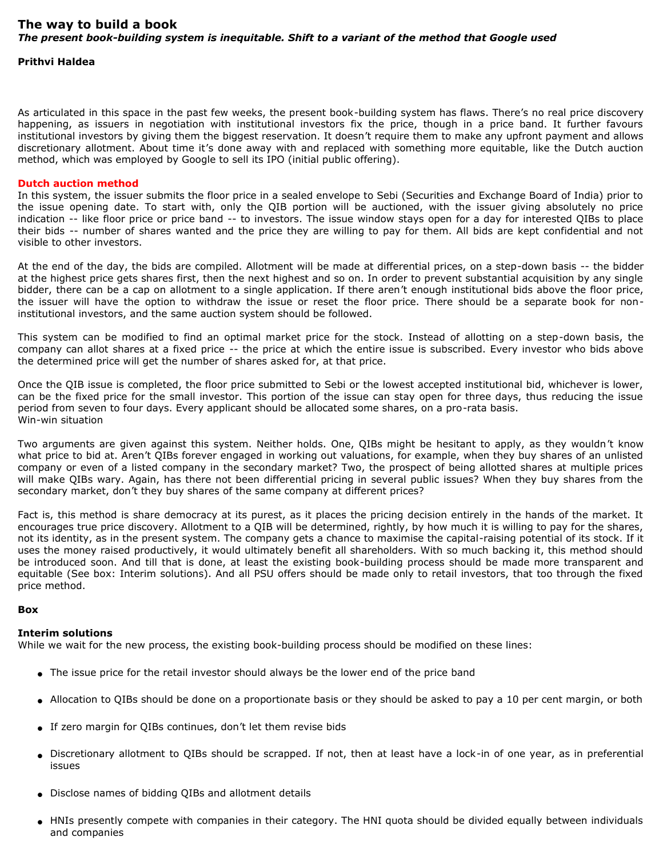## **Prithvi Haldea**

As articulated in this space in the past few weeks, the present book-building system has flaws. There's no real price discovery happening, as issuers in negotiation with institutional investors fix the price, though in a price band. It further favours institutional investors by giving them the biggest reservation. It doesn't require them to make any upfront payment and allows discretionary allotment. About time it's done away with and replaced with something more equitable, like the Dutch auction method, which was employed by Google to sell its IPO (initial public offering).

## **Dutch auction method**

In this system, the issuer submits the floor price in a sealed envelope to Sebi (Securities and Exchange Board of India) prior to the issue opening date. To start with, only the QIB portion will be auctioned, with the issuer giving absolutely no price indication -- like floor price or price band -- to investors. The issue window stays open for a day for interested QIBs to place their bids -- number of shares wanted and the price they are willing to pay for them. All bids are kept confidential and not visible to other investors.

At the end of the day, the bids are compiled. Allotment will be made at differential prices, on a step-down basis -- the bidder at the highest price gets shares first, then the next highest and so on. In order to prevent substantial acquisition by any single bidder, there can be a cap on allotment to a single application. If there aren't enough institutional bids above the floor price, the issuer will have the option to withdraw the issue or reset the floor price. There should be a separate book for noninstitutional investors, and the same auction system should be followed.

This system can be modified to find an optimal market price for the stock. Instead of allotting on a step-down basis, the company can allot shares at a fixed price -- the price at which the entire issue is subscribed. Every investor who bids above the determined price will get the number of shares asked for, at that price.

Once the QIB issue is completed, the floor price submitted to Sebi or the lowest accepted institutional bid, whichever is lower, can be the fixed price for the small investor. This portion of the issue can stay open for three days, thus reducing the issue period from seven to four days. Every applicant should be allocated some shares, on a pro-rata basis. Win-win situation

Two arguments are given against this system. Neither holds. One, QIBs might be hesitant to apply, as they wouldn't know what price to bid at. Aren't QIBs forever engaged in working out valuations, for example, when they buy shares of an unlisted company or even of a listed company in the secondary market? Two, the prospect of being allotted shares at multiple prices will make QIBs wary. Again, has there not been differential pricing in several public issues? When they buy shares from the secondary market, don't they buy shares of the same company at different prices?

Fact is, this method is share democracy at its purest, as it places the pricing decision entirely in the hands of the market. It encourages true price discovery. Allotment to a QIB will be determined, rightly, by how much it is willing to pay for the shares, not its identity, as in the present system. The company gets a chance to maximise the capital-raising potential of its stock. If it uses the money raised productively, it would ultimately benefit all shareholders. With so much backing it, this method should be introduced soon. And till that is done, at least the existing book-building process should be made more transparent and equitable (See box: Interim solutions). And all PSU offers should be made only to retail investors, that too through the fixed price method.

## **Box**

## **Interim solutions**

While we wait for the new process, the existing book-building process should be modified on these lines:

- The issue price for the retail investor should always be the lower end of the price band
- Allocation to QIBs should be done on a proportionate basis or they should be asked to pay a 10 per cent margin, or both
- If zero margin for QIBs continues, don't let them revise bids
- Discretionary allotment to QIBs should be scrapped. If not, then at least have a lock-in of one year, as in preferential issues
- Disclose names of bidding QIBs and allotment details
- HNIs presently compete with companies in their category. The HNI quota should be divided equally between individuals and companies